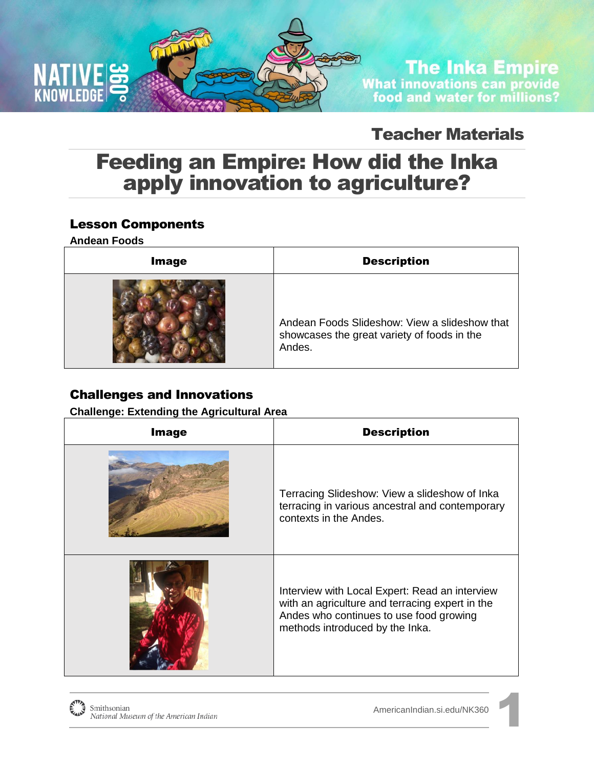

# **The Inka Empire** What innovations can provide<br>food and water for millions?

### Teacher Materials

### Feeding an Empire: How did the Inka apply innovation to agriculture?

### Lesson Components

**Andean Foods** 

| <b>Image</b> | <b>Description</b>                                                                                     |
|--------------|--------------------------------------------------------------------------------------------------------|
|              | Andean Foods Slideshow: View a slideshow that<br>showcases the great variety of foods in the<br>Andes. |

### Challenges and Innovations

**Challenge: Extending the Agricultural Area** 

| <b>Image</b> | <b>Description</b>                                                                                                                                                              |
|--------------|---------------------------------------------------------------------------------------------------------------------------------------------------------------------------------|
|              | Terracing Slideshow: View a slideshow of Inka<br>terracing in various ancestral and contemporary<br>contexts in the Andes.                                                      |
|              | Interview with Local Expert: Read an interview<br>with an agriculture and terracing expert in the<br>Andes who continues to use food growing<br>methods introduced by the Inka. |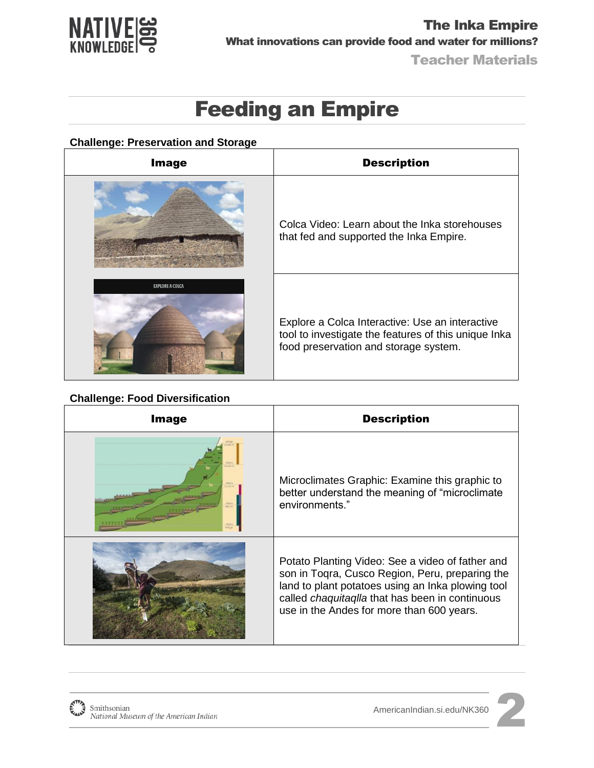

# Feeding an Empire

#### **Challenge: Preservation and Storage**

| <b>Image</b>           | <b>Description</b>                                                                                                                               |
|------------------------|--------------------------------------------------------------------------------------------------------------------------------------------------|
|                        | Colca Video: Learn about the Inka storehouses<br>that fed and supported the Inka Empire.                                                         |
| <b>EXPLORE A COLCA</b> | Explore a Colca Interactive: Use an interactive<br>tool to investigate the features of this unique Inka<br>food preservation and storage system. |

#### **Challenge: Food Diversification**

| <b>Image</b> | <b>Description</b>                                                                                                                                                                                                                                              |
|--------------|-----------------------------------------------------------------------------------------------------------------------------------------------------------------------------------------------------------------------------------------------------------------|
|              | Microclimates Graphic: Examine this graphic to<br>better understand the meaning of "microclimate"<br>environments."                                                                                                                                             |
|              | Potato Planting Video: See a video of father and<br>son in Togra, Cusco Region, Peru, preparing the<br>land to plant potatoes using an Inka plowing tool<br>called <i>chaquitaqlla</i> that has been in continuous<br>use in the Andes for more than 600 years. |



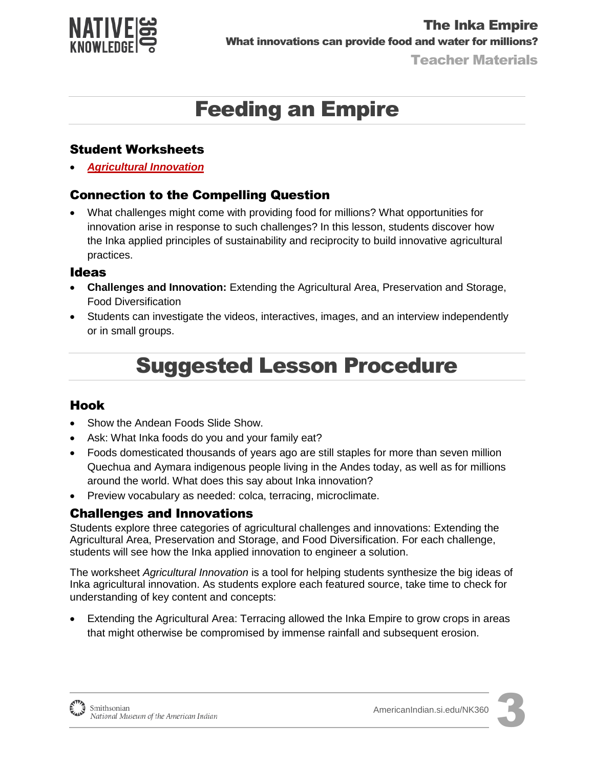

# Feeding an Empire

#### Student Worksheets

*[Agricultural Innovation](http://americanindian.si.edu/nk360/inka-water/pdf/Student-Instructions-SQ3-InkaRoad-WaterManagement-ENGLISH.pdf)*

### Connection to the Compelling Question

 What challenges might come with providing food for millions? What opportunities for innovation arise in response to such challenges? In this lesson, students discover how the Inka applied principles of sustainability and reciprocity to build innovative agricultural practices.

#### Ideas

- **Challenges and Innovation:** Extending the Agricultural Area, Preservation and Storage, Food Diversification
- Students can investigate the videos, interactives, images, and an interview independently or in small groups.

# Suggested Lesson Procedure

#### Hook

- Show the Andean Foods Slide Show.
- Ask: What Inka foods do you and your family eat?
- Foods domesticated thousands of years ago are still staples for more than seven million Quechua and Aymara indigenous people living in the Andes today, as well as for millions around the world. What does this say about Inka innovation?
- Preview vocabulary as needed: colca, terracing, microclimate.

#### Challenges and Innovations

Students explore three categories of agricultural challenges and innovations: Extending the Agricultural Area, Preservation and Storage, and Food Diversification. For each challenge, students will see how the Inka applied innovation to engineer a solution.

The worksheet *Agricultural Innovation* is a tool for helping students synthesize the big ideas of Inka agricultural innovation. As students explore each featured source, take time to check for understanding of key content and concepts:

 Extending the Agricultural Area: Terracing allowed the Inka Empire to grow crops in areas that might otherwise be compromised by immense rainfall and subsequent erosion.